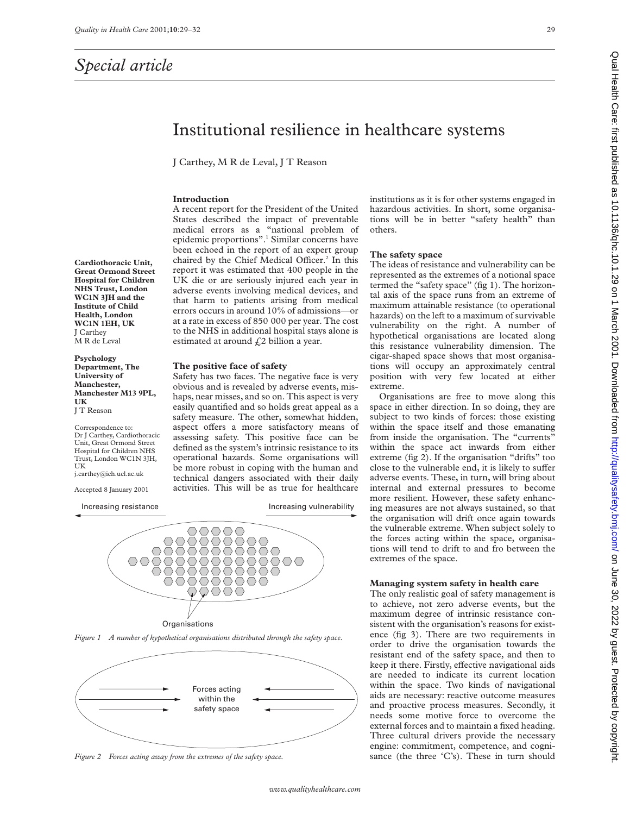# *Special article*

**Cardiothoracic Unit, Great Ormond Street Hospital for Children NHS Trust, London WC1N 3JH and the Institute of Child Health, London WC1N 1EH, UK** J Carthey M R de Leval **Psychology Department, The University of Manchester, Manchester M13 9PL,**

**UK** J T Reason Correspondence to: Dr J Carthey, Cardiothoracic Unit, Great Ormond Street Hospital for Children NHS Trust, London WC1N 3JH,

UK

j.carthey@ich.ucl.ac.uk Accepted 8 January 2001

# Institutional resilience in healthcare systems

J Carthey, M R de Leval, J T Reason

# **Introduction**

A recent report for the President of the United States described the impact of preventable medical errors as a "national problem of epidemic proportions".<sup>1</sup> Similar concerns have been echoed in the report of an expert group chaired by the Chief Medical Officer.<sup>2</sup> In this report it was estimated that 400 people in the UK die or are seriously injured each year in adverse events involving medical devices, and that harm to patients arising from medical errors occurs in around 10% of admissions—or at a rate in excess of 850 000 per year. The cost to the NHS in additional hospital stays alone is estimated at around £2 billion a year.

# **The positive face of safety**

Safety has two faces. The negative face is very obvious and is revealed by adverse events, mishaps, near misses, and so on. This aspect is very easily quantified and so holds great appeal as a safety measure. The other, somewhat hidden, aspect offers a more satisfactory means of assessing safety. This positive face can be defined as the system's intrinsic resistance to its operational hazards. Some organisations will be more robust in coping with the human and technical dangers associated with their daily activities. This will be as true for healthcare

Increasing resistance **Increasing vulnerability** 



*Figure 1 A number of hypothetical organisations distributed through the safety space.*



*Figure 2 Forces acting away from the extremes of the safety space.*

institutions as it is for other systems engaged in hazardous activities. In short, some organisations will be in better "safety health" than others.

## **The safety space**

The ideas of resistance and vulnerability can be represented as the extremes of a notional space termed the "safety space" (fig 1). The horizontal axis of the space runs from an extreme of maximum attainable resistance (to operational hazards) on the left to a maximum of survivable vulnerability on the right. A number of hypothetical organisations are located along this resistance vulnerability dimension. The cigar-shaped space shows that most organisations will occupy an approximately central position with very few located at either extreme.

Organisations are free to move along this space in either direction. In so doing, they are subject to two kinds of forces: those existing within the space itself and those emanating from inside the organisation. The "currents" within the space act inwards from either extreme (fig 2). If the organisation "drifts" too close to the vulnerable end, it is likely to suffer adverse events. These, in turn, will bring about internal and external pressures to become more resilient. However, these safety enhancing measures are not always sustained, so that the organisation will drift once again towards the vulnerable extreme. When subject solely to the forces acting within the space, organisations will tend to drift to and fro between the extremes of the space.

# **Managing system safety in health care**

The only realistic goal of safety management is to achieve, not zero adverse events, but the maximum degree of intrinsic resistance consistent with the organisation's reasons for existence (fig 3). There are two requirements in order to drive the organisation towards the resistant end of the safety space, and then to keep it there. Firstly, effective navigational aids are needed to indicate its current location within the space. Two kinds of navigational aids are necessary: reactive outcome measures and proactive process measures. Secondly, it needs some motive force to overcome the external forces and to maintain a fixed heading. Three cultural drivers provide the necessary engine: commitment, competence, and cognisance (the three 'C's). These in turn should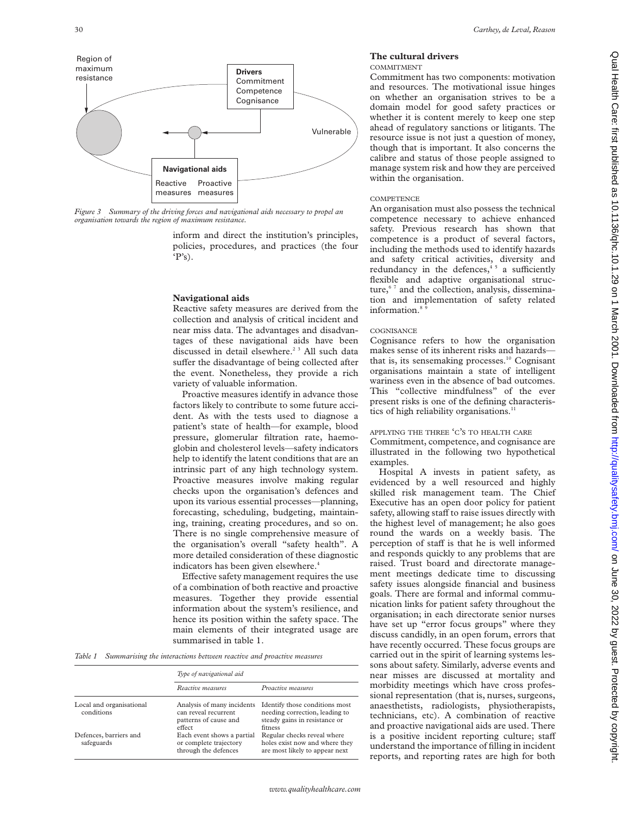

*Figure 3 Summary of the driving forces and navigational aids necessary to propel an organisation towards the region of maximum resistance.*

inform and direct the institution's principles, policies, procedures, and practices (the four  $(P's)$ .

# **Navigational aids**

Reactive safety measures are derived from the collection and analysis of critical incident and near miss data. The advantages and disadvantages of these navigational aids have been discussed in detail elsewhere.<sup>2 3</sup> All such data suffer the disadvantage of being collected after the event. Nonetheless, they provide a rich variety of valuable information.

Proactive measures identify in advance those factors likely to contribute to some future accident. As with the tests used to diagnose a patient's state of health—for example, blood pressure, glomerular filtration rate, haemoglobin and cholesterol levels—safety indicators help to identify the latent conditions that are an intrinsic part of any high technology system. Proactive measures involve making regular checks upon the organisation's defences and upon its various essential processes—planning, forecasting, scheduling, budgeting, maintaining, training, creating procedures, and so on. There is no single comprehensive measure of the organisation's overall "safety health". A more detailed consideration of these diagnostic indicators has been given elsewhere.<sup>4</sup>

Effective safety management requires the use of a combination of both reactive and proactive measures. Together they provide essential information about the system's resilience, and hence its position within the safety space. The main elements of their integrated usage are summarised in table 1.

*Table 1 Summarising the interactions between reactive and proactive measures*

|                                        | Type of navigational aid                                                              |                                                                                                              |
|----------------------------------------|---------------------------------------------------------------------------------------|--------------------------------------------------------------------------------------------------------------|
|                                        | Reactive measures                                                                     | Proactive measures                                                                                           |
| Local and organisational<br>conditions | Analysis of many incidents<br>can reveal recurrent<br>patterns of cause and<br>effect | Identify those conditions most<br>needing correction, leading to<br>steady gains in resistance or<br>fitness |
| Defences, barriers and<br>safeguards   | Each event shows a partial<br>or complete trajectory<br>through the defences          | Regular checks reveal where<br>holes exist now and where they<br>are most likely to appear next              |

# **The cultural drivers**

**COMMITMENT** 

Commitment has two components: motivation and resources. The motivational issue hinges on whether an organisation strives to be a domain model for good safety practices or whether it is content merely to keep one step ahead of regulatory sanctions or litigants. The resource issue is not just a question of money, though that is important. It also concerns the calibre and status of those people assigned to manage system risk and how they are perceived within the organisation.

# **COMPETENCE**

An organisation must also possess the technical competence necessary to achieve enhanced safety. Previous research has shown that competence is a product of several factors, including the methods used to identify hazards and safety critical activities, diversity and redundancy in the defences, $45$  a sufficiently flexible and adaptive organisational structure, $67$  and the collection, analysis, dissemination and implementation of safety related information.<sup>8</sup>

## **COGNISANCE**

Cognisance refers to how the organisation makes sense of its inherent risks and hazards that is, its sensemaking processes.<sup>10</sup> Cognisant organisations maintain a state of intelligent wariness even in the absence of bad outcomes. This "collective mindfulness" of the ever present risks is one of the defining characteristics of high reliability organisations.<sup>11</sup>

## APPLYING THE THREE 'C'S TO HEALTH CARE

Commitment, competence, and cognisance are illustrated in the following two hypothetical examples.

Hospital A invests in patient safety, as evidenced by a well resourced and highly skilled risk management team. The Chief Executive has an open door policy for patient safety, allowing staff to raise issues directly with the highest level of management; he also goes round the wards on a weekly basis. The perception of staff is that he is well informed and responds quickly to any problems that are raised. Trust board and directorate management meetings dedicate time to discussing safety issues alongside financial and business goals. There are formal and informal communication links for patient safety throughout the organisation; in each directorate senior nurses have set up "error focus groups" where they discuss candidly, in an open forum, errors that have recently occurred. These focus groups are carried out in the spirit of learning systems lessons about safety. Similarly, adverse events and near misses are discussed at mortality and morbidity meetings which have cross professional representation (that is, nurses, surgeons, anaesthetists, radiologists, physiotherapists, technicians, etc). A combination of reactive and proactive navigational aids are used. There is a positive incident reporting culture; staff understand the importance of filling in incident reports, and reporting rates are high for both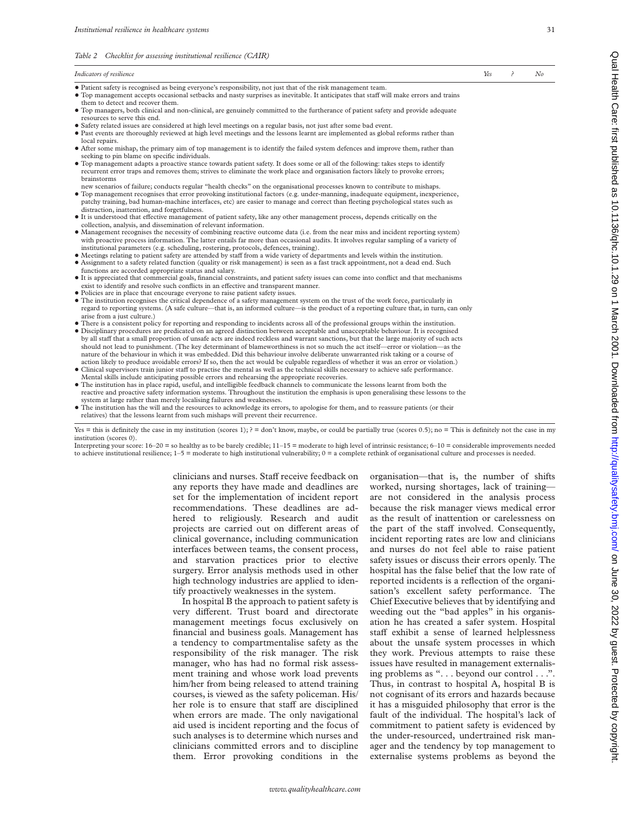### *Table 2 Checklist for assessing institutional resilience (CAIR)*

#### *Indicators of resilience Yes ? No*

- Patient safety is recognised as being everyone's responsibility, not just that of the risk management team.<br>● Top management accepts occasional setbacks and nasty surprises as inevitable. It anticipates that staff will
- them to detect and recover them.
- + Top managers, both clinical and non-clinical, are genuinely committed to the furtherance of patient safety and provide adequate resources to serve this end.
- + Safety related issues are considered at high level meetings on a regular basis, not just after some bad event. + Past events are thoroughly reviewed at high level meetings and the lessons learnt are implemented as global reforms rather than
- local repairs.
- + After some mishap, the primary aim of top management is to identify the failed system defences and improve them, rather than seeking to pin blame on specific individuals. + Top management adapts a proactive stance towards patient safety. It does some or all of the following: takes steps to identify
- recurrent error traps and removes them; strives to eliminate the work place and organisation factors likely to provoke errors; brainstorms
- new scenarios of failure; conducts regular "health checks" on the organisational processes known to contribute to mishaps. + Top management recognises that error provoking institutional factors (e.g. under-manning, inadequate equipment, inexperience, patchy training, bad human-machine interfaces, etc) are easier to manage and correct than fleeting psychological states such as
- distraction, inattention, and forgetfulness.  $\bullet$  It is understood that effective management of patient safety, like any other management process, depends critically on the
- collection, analysis, and dissemination of relevant information. + Management recognises the necessity of combining reactive outcome data (i.e. from the near miss and incident reporting system) with proactive process information. The latter entails far more than occasional audits. It involves regular sampling of a variety of institutional parameters (e.g. scheduling, rostering, protocols, defences, training).
- + Meetings relating to patient safety are attended by staV from a wide variety of departments and levels within the institution.
- + Assignment to a safety related function (quality or risk management) is seen as a fast track appointment, not a dead end. Such functions are accorded appropriate status and salary.
- + It is appreciated that commercial goals, financial constraints, and patient safety issues can come into conflict and that mechanisms exist to identify and resolve such conflicts in an effective and transparent manner.
- + Policies are in place that encourage everyone to raise patient safety issues.
- + The institution recognises the critical dependence of a safety management system on the trust of the work force, particularly in regard to reporting systems. (A safe culture—that is, an informed culture—is the product of a reporting culture that, in turn, can only arise from a just culture.)
- + There is a consistent policy for reporting and responding to incidents across all of the professional groups within the institution.
- + Disciplinary procedures are predicated on an agreed distinction between acceptable and unacceptable behaviour. It is recognised by all staff that a small proportion of unsafe acts are indeed reckless and warrant sanctions, but that the large majority of such acts should not lead to punishment. (The key determinant of blameworthiness is not so much the act itself—error or violation—as the nature of the behaviour in which it was embedded. Did this behaviour involve deliberate unwarranted risk taking or a course of action likely to produce avoidable errors? If so, then the act would be culpable regardless of whether it was an error or violation.)
- + Clinical supervisors train junior staV to practise the mental as well as the technical skills necessary to achieve safe performance. Mental skills include anticipating possible errors and rehearsing the appropriate recoveries.
- + The institution has in place rapid, useful, and intelligible feedback channels to communicate the lessons learnt from both the reactive and proactive safety information systems. Throughout the institution the emphasis is upon generalising these lessons to the system at large rather than merely localising failures and weaknesses.
- + The institution has the will and the resources to acknowledge its errors, to apologise for them, and to reassure patients (or their relatives) that the lessons learnt from such mishaps will prevent their recurrence.

Yes = this is definitely the case in my institution (scores 1);  $? =$  don't know, maybe, or could be partially true (scores 0.5); no = This is definitely not the case in my institution (scores 0).

Interpreting your score: 16–20 = so healthy as to be barely credible; 11–15 = moderate to high level of intrinsic resistance; 6–10 = considerable improvements needed to achieve institutional resilience;  $1-5 =$  moderate to high institutional vulnerability;  $0 =$  a complete rethink of organisational culture and processes is needed.

> clinicians and nurses. Staff receive feedback on any reports they have made and deadlines are set for the implementation of incident report recommendations. These deadlines are adhered to religiously. Research and audit projects are carried out on different areas of clinical governance, including communication interfaces between teams, the consent process, and starvation practices prior to elective surgery. Error analysis methods used in other high technology industries are applied to identify proactively weaknesses in the system.

> In hospital B the approach to patient safety is very different. Trust board and directorate management meetings focus exclusively on financial and business goals. Management has a tendency to compartmentalise safety as the responsibility of the risk manager. The risk manager, who has had no formal risk assessment training and whose work load prevents him/her from being released to attend training courses, is viewed as the safety policeman. His/ her role is to ensure that staff are disciplined when errors are made. The only navigational aid used is incident reporting and the focus of such analyses is to determine which nurses and clinicians committed errors and to discipline them. Error provoking conditions in the

organisation—that is, the number of shifts worked, nursing shortages, lack of training are not considered in the analysis process because the risk manager views medical error as the result of inattention or carelessness on the part of the staff involved. Consequently, incident reporting rates are low and clinicians and nurses do not feel able to raise patient safety issues or discuss their errors openly. The hospital has the false belief that the low rate of reported incidents is a reflection of the organisation's excellent safety performance. The Chief Executive believes that by identifying and weeding out the "bad apples" in his organisation he has created a safer system. Hospital staff exhibit a sense of learned helplessness about the unsafe system processes in which they work. Previous attempts to raise these issues have resulted in management externalising problems as ". . . beyond our control . . .". Thus, in contrast to hospital A, hospital B is not cognisant of its errors and hazards because it has a misguided philosophy that error is the fault of the individual. The hospital's lack of commitment to patient safety is evidenced by the under-resourced, undertrained risk manager and the tendency by top management to externalise systems problems as beyond the